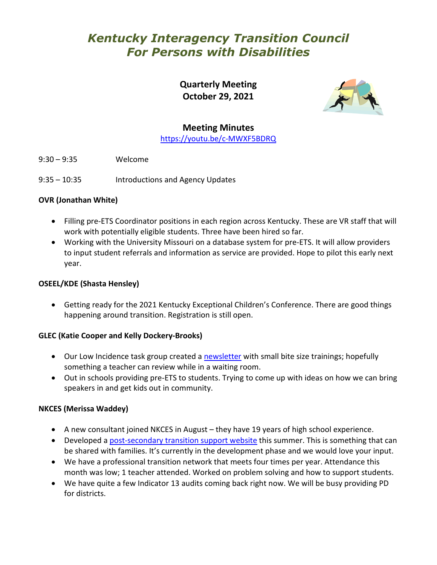# *Kentucky Interagency Transition Council For Persons with Disabilities*

**Quarterly Meeting October 29, 2021**



# **Meeting Minutes**

<https://youtu.be/c-MWXF5BDRQ>

- 9:30 9:35 Welcome
- 9:35 10:35 Introductions and Agency Updates

## **OVR (Jonathan White)**

- Filling pre-ETS Coordinator positions in each region across Kentucky. These are VR staff that will work with potentially eligible students. Three have been hired so far.
- Working with the University Missouri on a database system for pre-ETS. It will allow providers to input student referrals and information as service are provided. Hope to pilot this early next year.

#### **OSEEL/KDE (Shasta Hensley)**

• Getting ready for the 2021 Kentucky Exceptional Children's Conference. There are good things happening around transition. Registration is still open.

#### **GLEC (Katie Cooper and Kelly Dockery-Brooks)**

- Our Low Incidence task group created a [newsletter](https://sites.google.com/nkces.org/kyalternateassessment/monthly-newsletters-tips) with small bite size trainings; hopefully something a teacher can review while in a waiting room.
- Out in schools providing pre-ETS to students. Trying to come up with ideas on how we can bring speakers in and get kids out in community.

#### **NKCES (Merissa Waddey)**

- A new consultant joined NKCES in August they have 19 years of high school experience.
- Developed a [post-secondary transition support website](https://sites.google.com/nkces.org/nkcestransition/home) this summer. This is something that can be shared with families. It's currently in the development phase and we would love your input.
- We have a professional transition network that meets four times per year. Attendance this month was low; 1 teacher attended. Worked on problem solving and how to support students.
- We have quite a few Indicator 13 audits coming back right now. We will be busy providing PD for districts.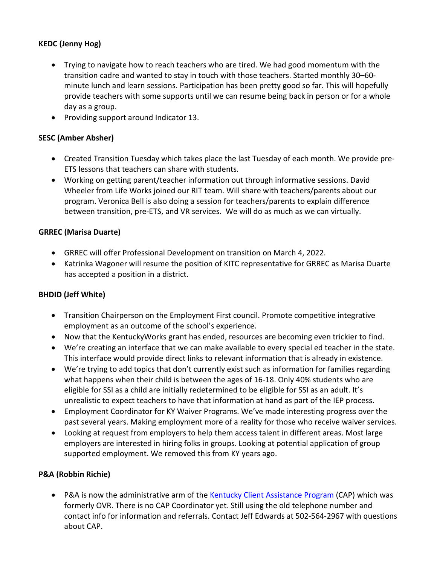# **KEDC (Jenny Hog)**

- Trying to navigate how to reach teachers who are tired. We had good momentum with the transition cadre and wanted to stay in touch with those teachers. Started monthly 30–60 minute lunch and learn sessions. Participation has been pretty good so far. This will hopefully provide teachers with some supports until we can resume being back in person or for a whole day as a group.
- Providing support around Indicator 13.

## **SESC (Amber Absher)**

- Created Transition Tuesday which takes place the last Tuesday of each month. We provide pre-ETS lessons that teachers can share with students.
- Working on getting parent/teacher information out through informative sessions. David Wheeler from Life Works joined our RIT team. Will share with teachers/parents about our program. Veronica Bell is also doing a session for teachers/parents to explain difference between transition, pre-ETS, and VR services. We will do as much as we can virtually.

#### **GRREC (Marisa Duarte)**

- GRREC will offer Professional Development on transition on March 4, 2022.
- Katrinka Wagoner will resume the position of KITC representative for GRREC as Marisa Duarte has accepted a position in a district.

#### **BHDID (Jeff White)**

- Transition Chairperson on the Employment First council. Promote competitive integrative employment as an outcome of the school's experience.
- Now that the KentuckyWorks grant has ended, resources are becoming even trickier to find.
- We're creating an interface that we can make available to every special ed teacher in the state. This interface would provide direct links to relevant information that is already in existence.
- We're trying to add topics that don't currently exist such as information for families regarding what happens when their child is between the ages of 16-18. Only 40% students who are eligible for SSI as a child are initially redetermined to be eligible for SSI as an adult. It's unrealistic to expect teachers to have that information at hand as part of the IEP process.
- Employment Coordinator for KY Waiver Programs. We've made interesting progress over the past several years. Making employment more of a reality for those who receive waiver services.
- Looking at request from employers to help them access talent in different areas. Most large employers are interested in hiring folks in groups. Looking at potential application of group supported employment. We removed this from KY years ago.

#### **P&A (Robbin Richie)**

• P&A is now the administrative arm of the [Kentucky Client Assistance Program](http://kycap.ky.gov/) (CAP) which was formerly OVR. There is no CAP Coordinator yet. Still using the old telephone number and contact info for information and referrals. Contact Jeff Edwards at 502-564-2967 with questions about CAP.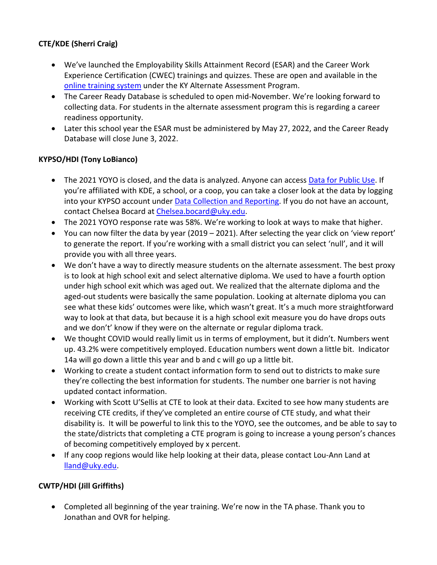# **CTE/KDE (Sherri Craig)**

- We've launched the Employability Skills Attainment Record (ESAR) and the Career Work Experience Certification (CWEC) trainings and quizzes. These are open and available in the [online training system](https://kaap.hdi.uky.edu/) under the KY Alternate Assessment Program.
- The Career Ready Database is scheduled to open mid-November. We're looking forward to collecting data. For students in the alternate assessment program this is regarding a career readiness opportunity.
- Later this school year the ESAR must be administered by May 27, 2022, and the Career Ready Database will close June 3, 2022.

## **KYPSO/HDI (Tony LoBianco)**

- The 2021 YOYO is closed, and the data is analyzed. Anyone can access [Data for Public Use.](https://www.kypso.org/home/) If you're affiliated with KDE, a school, or a coop, you can take a closer look at the data by logging into your KYPSO account under [Data Collection and Reporting.](https://data.kypso.org/login.aspx) If you do not have an account, contact Chelsea Bocard at [Chelsea.bocard@uky.edu.](mailto:Chelsea.bocard@uky.edu)
- The 2021 YOYO response rate was 58%. We're working to look at ways to make that higher.
- You can now filter the data by year (2019 2021). After selecting the year click on 'view report' to generate the report. If you're working with a small district you can select 'null', and it will provide you with all three years.
- We don't have a way to directly measure students on the alternate assessment. The best proxy is to look at high school exit and select alternative diploma. We used to have a fourth option under high school exit which was aged out. We realized that the alternate diploma and the aged-out students were basically the same population. Looking at alternate diploma you can see what these kids' outcomes were like, which wasn't great. It's a much more straightforward way to look at that data, but because it is a high school exit measure you do have drops outs and we don't' know if they were on the alternate or regular diploma track.
- We thought COVID would really limit us in terms of employment, but it didn't. Numbers went up. 43.2% were competitively employed. Education numbers went down a little bit. Indicator 14a will go down a little this year and b and c will go up a little bit.
- Working to create a student contact information form to send out to districts to make sure they're collecting the best information for students. The number one barrier is not having updated contact information.
- Working with Scott U'Sellis at CTE to look at their data. Excited to see how many students are receiving CTE credits, if they've completed an entire course of CTE study, and what their disability is. It will be powerful to link this to the YOYO, see the outcomes, and be able to say to the state/districts that completing a CTE program is going to increase a young person's chances of becoming competitively employed by x percent.
- If any coop regions would like help looking at their data, please contact Lou-Ann Land at [lland@uky.edu.](mailto:lland@uky.edu)

# **CWTP/HDI (Jill Griffiths)**

• Completed all beginning of the year training. We're now in the TA phase. Thank you to Jonathan and OVR for helping.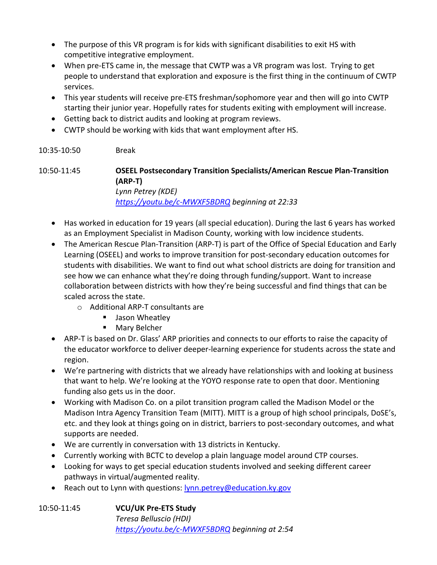- The purpose of this VR program is for kids with significant disabilities to exit HS with competitive integrative employment.
- When pre-ETS came in, the message that CWTP was a VR program was lost. Trying to get people to understand that exploration and exposure is the first thing in the continuum of CWTP services.
- This year students will receive pre-ETS freshman/sophomore year and then will go into CWTP starting their junior year. Hopefully rates for students exiting with employment will increase.
- Getting back to district audits and looking at program reviews.
- CWTP should be working with kids that want employment after HS.

#### 10:35-10:50 Break

10:50-11:45 **OSEEL Postsecondary Transition Specialists/American Rescue Plan-Transition (ARP-T)** *Lynn Petrey (KDE) <https://youtu.be/c-MWXF5BDRQ> beginning at 22:33*

- Has worked in education for 19 years (all special education). During the last 6 years has worked as an Employment Specialist in Madison County, working with low incidence students.
- The American Rescue Plan-Transition (ARP-T) is part of the Office of Special Education and Early Learning (OSEEL) and works to improve transition for post-secondary education outcomes for students with disabilities. We want to find out what school districts are doing for transition and see how we can enhance what they're doing through funding/support. Want to increase collaboration between districts with how they're being successful and find things that can be scaled across the state.
	- o Additional ARP-T consultants are
		- **Jason Wheatley**
		- **Mary Belcher**
- ARP-T is based on Dr. Glass' ARP priorities and connects to our efforts to raise the capacity of the educator workforce to deliver deeper-learning experience for students across the state and region.
- We're partnering with districts that we already have relationships with and looking at business that want to help. We're looking at the YOYO response rate to open that door. Mentioning funding also gets us in the door.
- Working with Madison Co. on a pilot transition program called the Madison Model or the Madison Intra Agency Transition Team (MITT). MITT is a group of high school principals, DoSE's, etc. and they look at things going on in district, barriers to post-secondary outcomes, and what supports are needed.
- We are currently in conversation with 13 districts in Kentucky.
- Currently working with BCTC to develop a plain language model around CTP courses.
- Looking for ways to get special education students involved and seeking different career pathways in virtual/augmented reality.
- Reach out to Lynn with questions: [lynn.petrey@education.ky.gov](mailto:lynn.petrey@education.ky.gov)

| 10:50-11:45 | <b>VCU/UK Pre-ETS Study</b>                    |
|-------------|------------------------------------------------|
|             | Teresa Belluscio (HDI)                         |
|             | https://youtu.be/c-MWXF5BDRQ beginning at 2:54 |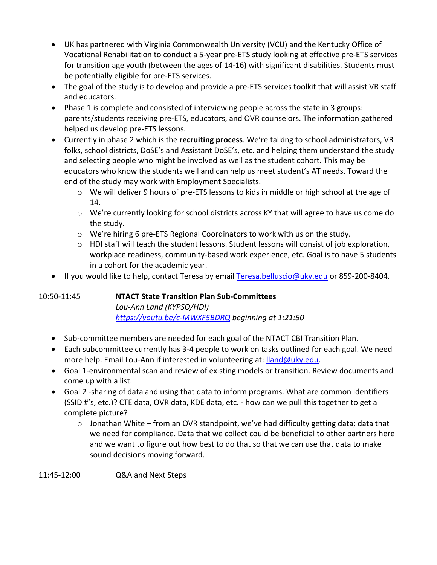- UK has partnered with Virginia Commonwealth University (VCU) and the Kentucky Office of Vocational Rehabilitation to conduct a 5-year pre-ETS study looking at effective pre-ETS services for transition age youth (between the ages of 14-16) with significant disabilities. Students must be potentially eligible for pre-ETS services.
- The goal of the study is to develop and provide a pre-ETS services toolkit that will assist VR staff and educators.
- Phase 1 is complete and consisted of interviewing people across the state in 3 groups: parents/students receiving pre-ETS, educators, and OVR counselors. The information gathered helped us develop pre-ETS lessons.
- Currently in phase 2 which is the **recruiting process**. We're talking to school administrators, VR folks, school districts, DoSE's and Assistant DoSE's, etc. and helping them understand the study and selecting people who might be involved as well as the student cohort. This may be educators who know the students well and can help us meet student's AT needs. Toward the end of the study may work with Employment Specialists.
	- o We will deliver 9 hours of pre-ETS lessons to kids in middle or high school at the age of 14.
	- o We're currently looking for school districts across KY that will agree to have us come do the study.
	- o We're hiring 6 pre-ETS Regional Coordinators to work with us on the study.
	- $\circ$  HDI staff will teach the student lessons. Student lessons will consist of job exploration, workplace readiness, community-based work experience, etc. Goal is to have 5 students in a cohort for the academic year.
- If you would like to help, contact Teresa by email [Teresa.belluscio@uky.edu](mailto:Teresa.belluscio@uky.edu) or 859-200-8404.

10:50-11:45 **NTACT State Transition Plan Sub-Committees**

*Lou-Ann Land (KYPSO/HDI) <https://youtu.be/c-MWXF5BDRQ> beginning at 1:21:50*

- Sub-committee members are needed for each goal of the NTACT CBI Transition Plan.
- Each subcommittee currently has 3-4 people to work on tasks outlined for each goal. We need more help. Email Lou-Ann if interested in volunteering at: [lland@uky.edu.](mailto:lland@uky.edu)
- Goal 1-environmental scan and review of existing models or transition. Review documents and come up with a list.
- Goal 2 -sharing of data and using that data to inform programs. What are common identifiers (SSID #'s, etc.)? CTE data, OVR data, KDE data, etc. - how can we pull this together to get a complete picture?
	- o Jonathan White from an OVR standpoint, we've had difficulty getting data; data that we need for compliance. Data that we collect could be beneficial to other partners here and we want to figure out how best to do that so that we can use that data to make sound decisions moving forward.

11:45-12:00 Q&A and Next Steps